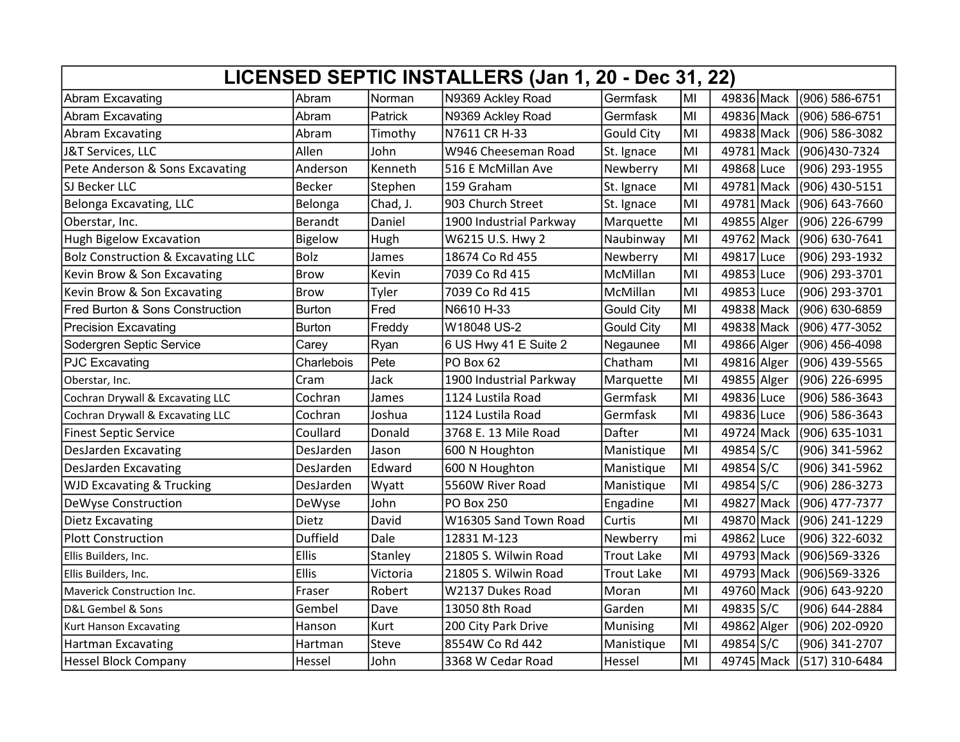| LICENSED SEPTIC INSTALLERS (Jan 1, 20 - Dec 31, 22) |                |             |                         |                   |    |             |  |                |
|-----------------------------------------------------|----------------|-------------|-------------------------|-------------------|----|-------------|--|----------------|
| <b>Abram Excavating</b>                             | Abram          | Norman      | N9369 Ackley Road       | Germfask          | MI | 49836 Mack  |  | (906) 586-6751 |
| <b>Abram Excavating</b>                             | Abram          | Patrick     | N9369 Ackley Road       | Germfask          | MI | 49836 Mack  |  | (906) 586-6751 |
| Abram Excavating                                    | Abram          | Timothy     | N7611 CR H-33           | <b>Gould City</b> | MI | 49838 Mack  |  | (906) 586-3082 |
| J&T Services, LLC                                   | Allen          | John        | W946 Cheeseman Road     | St. Ignace        | MI | 49781 Mack  |  | (906)430-7324  |
| Pete Anderson & Sons Excavating                     | Anderson       | Kenneth     | 516 E McMillan Ave      | Newberry          | MI | 49868 Luce  |  | (906) 293-1955 |
| SJ Becker LLC                                       | <b>Becker</b>  | Stephen     | 159 Graham              | St. Ignace        | MI | 49781 Mack  |  | (906) 430-5151 |
| Belonga Excavating, LLC                             | Belonga        | Chad, J.    | 903 Church Street       | St. Ignace        | MI | 49781 Mack  |  | (906) 643-7660 |
| Oberstar, Inc.                                      | Berandt        | Daniel      | 1900 Industrial Parkway | Marquette         | MI | 49855 Alger |  | (906) 226-6799 |
| Hugh Bigelow Excavation                             | <b>Bigelow</b> | <b>Hugh</b> | W6215 U.S. Hwy 2        | Naubinway         | MI | 49762 Mack  |  | (906) 630-7641 |
| <b>Bolz Construction &amp; Excavating LLC</b>       | <b>Bolz</b>    | James       | 18674 Co Rd 455         | Newberry          | MI | 49817 Luce  |  | (906) 293-1932 |
| Kevin Brow & Son Excavating                         | <b>Brow</b>    | Kevin       | 7039 Co Rd 415          | McMillan          | MI | 49853 Luce  |  | (906) 293-3701 |
| Kevin Brow & Son Excavating                         | Brow           | Tyler       | 7039 Co Rd 415          | McMillan          | MI | 49853 Luce  |  | (906) 293-3701 |
| Fred Burton & Sons Construction                     | <b>Burton</b>  | Fred        | N6610 H-33              | Gould City        | MI | 49838 Mack  |  | (906) 630-6859 |
| <b>Precision Excavating</b>                         | <b>Burton</b>  | Freddy      | W18048 US-2             | <b>Gould City</b> | MI | 49838 Mack  |  | (906) 477-3052 |
| Sodergren Septic Service                            | Carey          | Ryan        | 6 US Hwy 41 E Suite 2   | Negaunee          | MI | 49866 Alger |  | (906) 456-4098 |
| <b>PJC Excavating</b>                               | Charlebois     | Pete        | PO Box 62               | Chatham           | MI | 49816 Alger |  | (906) 439-5565 |
| Oberstar, Inc.                                      | Cram           | Jack        | 1900 Industrial Parkway | Marquette         | MI | 49855 Alger |  | (906) 226-6995 |
| Cochran Drywall & Excavating LLC                    | Cochran        | James       | 1124 Lustila Road       | Germfask          | MI | 49836 Luce  |  | (906) 586-3643 |
| Cochran Drywall & Excavating LLC                    | Cochran        | Joshua      | 1124 Lustila Road       | Germfask          | MI | 49836 Luce  |  | (906) 586-3643 |
| <b>Finest Septic Service</b>                        | Coullard       | Donald      | 3768 E. 13 Mile Road    | Dafter            | MI | 49724 Mack  |  | (906) 635-1031 |
| <b>DesJarden Excavating</b>                         | DesJarden      | Jason       | 600 N Houghton          | Manistique        | MI | 49854 S/C   |  | (906) 341-5962 |
| <b>DesJarden Excavating</b>                         | DesJarden      | Edward      | 600 N Houghton          | Manistique        | MI | 49854 S/C   |  | (906) 341-5962 |
| <b>WJD Excavating &amp; Trucking</b>                | DesJarden      | Wyatt       | 5560W River Road        | Manistique        | MI | 49854 S/C   |  | (906) 286-3273 |
| DeWyse Construction                                 | DeWyse         | John        | <b>PO Box 250</b>       | Engadine          | MI | 49827 Mack  |  | (906) 477-7377 |
| <b>Dietz Excavating</b>                             | Dietz          | David       | W16305 Sand Town Road   | Curtis            | MI | 49870 Mack  |  | (906) 241-1229 |
| <b>Plott Construction</b>                           | Duffield       | Dale        | 12831 M-123             | Newberry          | mi | 49862 Luce  |  | (906) 322-6032 |
| Ellis Builders, Inc.                                | <b>Ellis</b>   | Stanley     | 21805 S. Wilwin Road    | <b>Trout Lake</b> | MI | 49793 Mack  |  | (906)569-3326  |
| Ellis Builders, Inc.                                | <b>Ellis</b>   | Victoria    | 21805 S. Wilwin Road    | <b>Trout Lake</b> | MI | 49793 Mack  |  | (906)569-3326  |
| Maverick Construction Inc.                          | Fraser         | Robert      | W2137 Dukes Road        | Moran             | MI | 49760 Mack  |  | (906) 643-9220 |
| D&L Gembel & Sons                                   | Gembel         | Dave        | 13050 8th Road          | Garden            | MI | 49835 S/C   |  | (906) 644-2884 |
| Kurt Hanson Excavating                              | Hanson         | Kurt        | 200 City Park Drive     | Munising          | MI | 49862 Alger |  | (906) 202-0920 |
| <b>Hartman Excavating</b>                           | Hartman        | Steve       | 8554W Co Rd 442         | Manistique        | MI | 49854 S/C   |  | (906) 341-2707 |
| <b>Hessel Block Company</b>                         | Hessel         | John        | 3368 W Cedar Road       | Hessel            | MI | 49745 Mack  |  | (517) 310-6484 |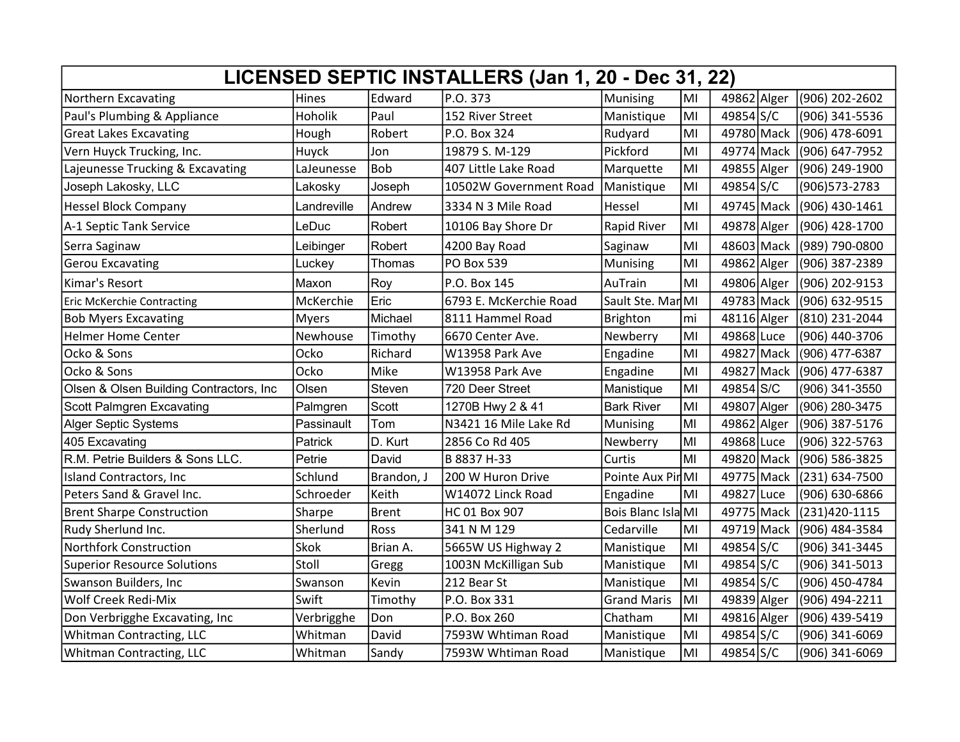| LICENSED SEPTIC INSTALLERS (Jan 1, 20 - Dec 31, 22) |             |              |                        |                    |    |             |  |                |
|-----------------------------------------------------|-------------|--------------|------------------------|--------------------|----|-------------|--|----------------|
| Northern Excavating                                 | Hines       | Edward       | P.O. 373               | Munising           | MI | 49862 Alger |  | (906) 202-2602 |
| Paul's Plumbing & Appliance                         | Hoholik     | Paul         | 152 River Street       | Manistique         | MI | 49854 S/C   |  | (906) 341-5536 |
| <b>Great Lakes Excavating</b>                       | Hough       | Robert       | P.O. Box 324           | Rudyard            | MI | 49780 Mack  |  | (906) 478-6091 |
| Vern Huyck Trucking, Inc.                           | Huyck       | Jon          | 19879 S. M-129         | Pickford           | MI | 49774 Mack  |  | (906) 647-7952 |
| Lajeunesse Trucking & Excavating                    | LaJeunesse  | <b>Bob</b>   | 407 Little Lake Road   | Marquette          | MI | 49855 Alger |  | (906) 249-1900 |
| Joseph Lakosky, LLC                                 | Lakosky     | Joseph       | 10502W Government Road | Manistique         | MI | 49854 S/C   |  | (906) 573-2783 |
| <b>Hessel Block Company</b>                         | Landreville | Andrew       | 3334 N 3 Mile Road     | Hessel             | MI | 49745 Mack  |  | (906) 430-1461 |
| A-1 Septic Tank Service                             | LeDuc       | Robert       | 10106 Bay Shore Dr     | Rapid River        | MI | 49878 Alger |  | (906) 428-1700 |
| Serra Saginaw                                       | Leibinger   | Robert       | 4200 Bay Road          | Saginaw            | MI | 48603 Mack  |  | (989) 790-0800 |
| <b>Gerou Excavating</b>                             | Luckey      | Thomas       | <b>PO Box 539</b>      | Munising           | MI | 49862 Alger |  | (906) 387-2389 |
| Kimar's Resort                                      | Maxon       | Roy          | P.O. Box 145           | AuTrain            | MI | 49806 Alger |  | (906) 202-9153 |
| <b>Eric McKerchie Contracting</b>                   | McKerchie   | Eric         | 6793 E. McKerchie Road | Sault Ste. Mar MI  |    | 49783 Mack  |  | (906) 632-9515 |
| <b>Bob Myers Excavating</b>                         | Myers       | Michael      | 8111 Hammel Road       | Brighton           | mi | 48116 Alger |  | (810) 231-2044 |
| <b>Helmer Home Center</b>                           | Newhouse    | Timothy      | 6670 Center Ave.       | Newberry           | MI | 49868 Luce  |  | (906) 440-3706 |
| Ocko & Sons                                         | Ocko        | Richard      | W13958 Park Ave        | Engadine           | MI | 49827 Mack  |  | (906) 477-6387 |
| Ocko & Sons                                         | Ocko        | Mike         | W13958 Park Ave        | Engadine           | MI | 49827 Mack  |  | (906) 477-6387 |
| Olsen & Olsen Building Contractors, Inc             | Olsen       | Steven       | 720 Deer Street        | Manistique         | MI | 49854 S/C   |  | (906) 341-3550 |
| Scott Palmgren Excavating                           | Palmgren    | Scott        | 1270B Hwy 2 & 41       | <b>Bark River</b>  | MI | 49807 Alger |  | (906) 280-3475 |
| <b>Alger Septic Systems</b>                         | Passinault  | Tom          | N3421 16 Mile Lake Rd  | Munising           | MI | 49862 Alger |  | (906) 387-5176 |
| 405 Excavating                                      | Patrick     | D. Kurt      | 2856 Co Rd 405         | Newberry           | MI | 49868 Luce  |  | (906) 322-5763 |
| R.M. Petrie Builders & Sons LLC.                    | Petrie      | David        | B 8837 H-33            | Curtis             | MI | 49820 Mack  |  | (906) 586-3825 |
| Island Contractors, Inc                             | Schlund     | Brandon, J   | 200 W Huron Drive      | Pointe Aux PirMI   |    | 49775 Mack  |  | (231) 634-7500 |
| Peters Sand & Gravel Inc.                           | Schroeder   | Keith        | W14072 Linck Road      | Engadine           | MI | 49827 Luce  |  | (906) 630-6866 |
| <b>Brent Sharpe Construction</b>                    | Sharpe      | <b>Brent</b> | HC 01 Box 907          | Bois Blanc IslaMI  |    | 49775 Mack  |  | (231)420-1115  |
| Rudy Sherlund Inc.                                  | Sherlund    | Ross         | 341 N M 129            | Cedarville         | MI | 49719 Mack  |  | (906) 484-3584 |
| <b>Northfork Construction</b>                       | <b>Skok</b> | Brian A.     | 5665W US Highway 2     | Manistique         | MI | 49854 S/C   |  | (906) 341-3445 |
| <b>Superior Resource Solutions</b>                  | Stoll       | Gregg        | 1003N McKilligan Sub   | Manistique         | MI | 49854 S/C   |  | (906) 341-5013 |
| Swanson Builders, Inc                               | Swanson     | Kevin        | 212 Bear St            | Manistique         | MI | 49854 S/C   |  | (906) 450-4784 |
| Wolf Creek Redi-Mix                                 | Swift       | Timothy      | P.O. Box 331           | <b>Grand Maris</b> | MI | 49839 Alger |  | (906) 494-2211 |
| Don Verbrigghe Excavating, Inc                      | Verbrigghe  | Don          | P.O. Box 260           | Chatham            | MI | 49816 Alger |  | (906) 439-5419 |
| Whitman Contracting, LLC                            | Whitman     | David        | 7593W Whtiman Road     | Manistique         | MI | 49854 S/C   |  | (906) 341-6069 |
| Whitman Contracting, LLC                            | Whitman     | Sandy        | 7593W Whtiman Road     | Manistique         | MI | 49854 S/C   |  | (906) 341-6069 |